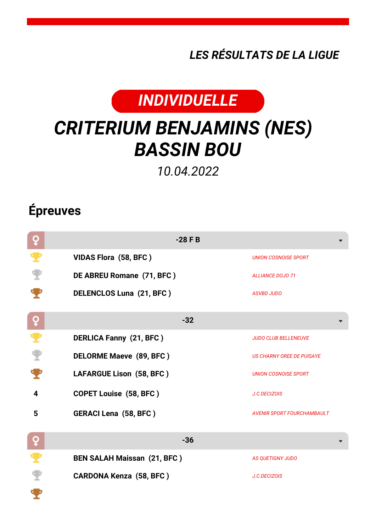*LES RÉSULTATS DE LA LIGUE*



## *CRITERIUM BENJAMINS (NES) BASSIN BOU*

*10.04.2022*

## **Épreuves**

| ò        | $-28$ F B                          |                             |
|----------|------------------------------------|-----------------------------|
|          | VIDAS Flora (58, BFC)              | <b>UNION COSNOISE SPORT</b> |
|          | DE ABREU Romane (71, BFC)          | <b>ALLIANCE DOJO 71</b>     |
|          | <b>DELENCLOS Luna (21, BFC)</b>    | <b>ASVBD JUDO</b>           |
| <u>o</u> | $-32$                              |                             |
|          | <b>DERLICA Fanny (21, BFC)</b>     | <b>JUDO CLUB BELLENEUVE</b> |
| Y        | <b>DELORME Maeve (89, BFC)</b>     | US CHARNY OREE DE PUISAYE   |
|          | LAFARGUE Lison (58, BFC)           | <b>UNION COSNOISE SPORT</b> |
| 4        | <b>COPET Louise (58, BFC)</b>      | J.C.DECIZOIS                |
| 5        | <b>GERACI Lena (58, BFC)</b>       | AVENIR SPORT FOURCHAMBAULT  |
| ò        | $-36$                              |                             |
|          | <b>BEN SALAH Maissan (21, BFC)</b> | <b>AS QUETIGNY JUDO</b>     |
|          | <b>CARDONA Kenza (58, BFC)</b>     | J.C.DECIZOIS                |
|          |                                    |                             |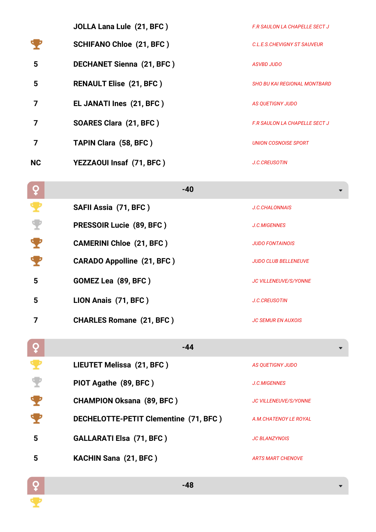|           | <b>JOLLA Lana Lule (21, BFC)</b> | <b>F.R SAULON LA CHAPELLE SECT J</b> |
|-----------|----------------------------------|--------------------------------------|
|           | <b>SCHIFANO Chloe (21, BFC)</b>  | C.I. F.S. CHEVIGNY ST SAUVEUR        |
| 5         | <b>DECHANET Sienna (21, BFC)</b> | <b>ASVBD JUDO</b>                    |
| 5         | <b>RENAULT Elise (21, BFC)</b>   | SHO BU KAI REGIONAL MONTBARD         |
|           | EL JANATI Ines (21, BFC)         | <b>AS QUETIGNY JUDO</b>              |
|           | SOARES Clara (21, BFC)           | <b>F.R SAULON LA CHAPELLE SECT J</b> |
|           | <b>TAPIN Clara (58, BFC)</b>     | UNION COSNOISE SPORT                 |
| <b>NC</b> | YEZZAOUI Insaf (71, BFC)         | <b>J.C.CREUSOTIN</b>                 |

| $\overline{Q}$ | $-40$                                 |                              |
|----------------|---------------------------------------|------------------------------|
|                | SAFII Assia (71, BFC)                 | <b>J.C.CHALONNAIS</b>        |
|                | PRESSOIR Lucie (89, BFC)              | <b>J.C.MIGENNES</b>          |
|                | <b>CAMERINI Chloe (21, BFC)</b>       | <b>JUDO FONTAINOIS</b>       |
|                | <b>CARADO Appolline (21, BFC)</b>     | <b>JUDO CLUB BELLENEUVE</b>  |
| 5              | GOMEZ Lea (89, BFC)                   | <b>JC VILLENEUVE/S/YONNE</b> |
| 5              | LION Anais (71, BFC)                  | <b>J.C.CREUSOTIN</b>         |
| 7              | <b>CHARLES Romane (21, BFC)</b>       | <b>JC SEMUR EN AUXOIS</b>    |
| ò              | $-44$                                 |                              |
|                | LIEUTET Melissa (21, BFC)             | <b>AS QUETIGNY JUDO</b>      |
|                | PIOT Agathe (89, BFC)                 | <b>J.C.MIGENNES</b>          |
|                | <b>CHAMPION Oksana (89, BFC)</b>      | <b>JC VILLENEUVE/S/YONNE</b> |
|                | DECHELOTTE-PETIT Clementine (71, BFC) | A.M.CHATENOY LE ROYAL        |
| 5              | <b>GALLARATI Elsa (71, BFC)</b>       | <b>JC BLANZYNOIS</b>         |
| 5              | <b>KACHIN Sana (21, BFC)</b>          | <b>ARTS MART CHENOVE</b>     |

 $\frac{Q}{\sqrt{2}}$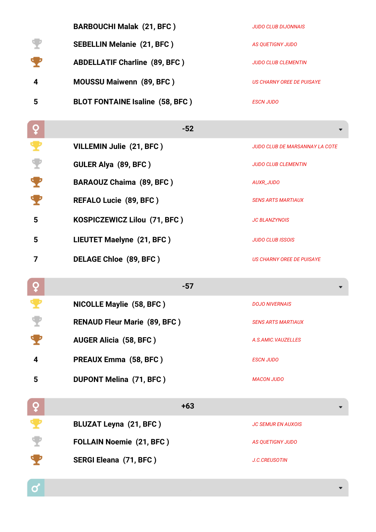|    | <b>BARBOUCHI Malak (21, BFC)</b>       | <b>JUDO CLUB DIJONNAIS</b> |
|----|----------------------------------------|----------------------------|
|    | <b>SEBELLIN Melanie (21, BFC)</b>      | AS QUETIGNY JUDO           |
| Ч, | <b>ABDELLATIF Charline (89, BFC)</b>   | <b>JUDO CLUB CLEMENTIN</b> |
| 4  | <b>MOUSSU Maiwenn (89, BFC)</b>        | US CHARNY OREE DE PUISAYE  |
| 5  | <b>BLOT FONTAINE Isaline (58, BFC)</b> | <b>ESCN JUDO</b>           |

| ç | $-52$                               |                                  |
|---|-------------------------------------|----------------------------------|
|   | VILLEMIN Julie (21, BFC)            | JUDO CLUB DE MARSANNAY LA COTE   |
|   | GULER Alya (89, BFC)                | <b>JUDO CLUB CLEMENTIN</b>       |
|   | <b>BARAOUZ Chaima (89, BFC)</b>     | AUXR_JUDO                        |
|   | <b>REFALO Lucie (89, BFC)</b>       | <b>SENS ARTS MARTIAUX</b>        |
| 5 | KOSPICZEWICZ Lilou (71, BFC)        | <b>JC BLANZYNOIS</b>             |
| 5 | LIEUTET Maelyne (21, BFC)           | <b>JUDO CLUB ISSOIS</b>          |
| 7 | DELAGE Chloe (89, BFC)              | <b>US CHARNY OREE DE PUISAYE</b> |
| ò | $-57$                               |                                  |
|   | <b>NICOLLE Maylie (58, BFC)</b>     | <b>DOJO NIVERNAIS</b>            |
|   | <b>RENAUD Fleur Marie (89, BFC)</b> | <b>SENS ARTS MARTIAUX</b>        |
|   | <b>AUGER Alicia (58, BFC)</b>       | A.S.AMIC.VAUZELLES               |
| 4 | PREAUX Emma (58, BFC)               | <b>ESCN JUDO</b>                 |
| 5 | <b>DUPONT Melina (71, BFC)</b>      | <b>MACON JUDO</b>                |
| ò | $+63$                               |                                  |
|   | <b>BLUZAT Leyna (21, BFC)</b>       | <b>JC SEMUR EN AUXOIS</b>        |
|   | <b>FOLLAIN Noemie (21, BFC)</b>     | <b>AS QUETIGNY JUDO</b>          |
|   | SERGI Eleana (71, BFC)              | <b>J.C.CREUSOTIN</b>             |

 $\overline{a}$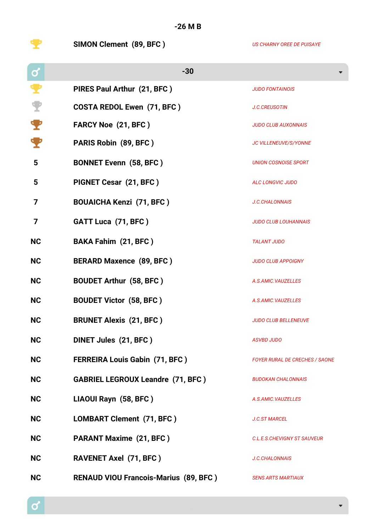**-26 M B**

**SIMON Clement (89, BFC )** *US CHARNY OREE DE PUISAYE*

| $\mathbf{Q}$ | $-30$                                        |                                       |
|--------------|----------------------------------------------|---------------------------------------|
|              | PIRES Paul Arthur (21, BFC)                  | <b>JUDO FONTAINOIS</b>                |
|              | <b>COSTA REDOL Ewen (71, BFC)</b>            | <b>J.C.CREUSOTIN</b>                  |
|              | <b>FARCY Noe (21, BFC)</b>                   | <b>JUDO CLUB AUXONNAIS</b>            |
|              | PARIS Robin (89, BFC)                        | JC VILLENEUVE/S/YONNE                 |
| 5            | <b>BONNET Evenn (58, BFC)</b>                | <b>UNION COSNOISE SPORT</b>           |
| 5            | PIGNET Cesar (21, BFC)                       | ALC LONGVIC JUDO                      |
| 7            | <b>BOUAICHA Kenzi (71, BFC)</b>              | J.C.CHALONNAIS                        |
| 7            | GATT Luca (71, BFC)                          | <b>JUDO CLUB LOUHANNAIS</b>           |
| <b>NC</b>    | <b>BAKA Fahim (21, BFC)</b>                  | <b>TALANT JUDO</b>                    |
| <b>NC</b>    | <b>BERARD Maxence (89, BFC)</b>              | <b>JUDO CLUB APPOIGNY</b>             |
| <b>NC</b>    | <b>BOUDET Arthur (58, BFC)</b>               | A.S.AMIC.VAUZELLES                    |
| <b>NC</b>    | <b>BOUDET Victor (58, BFC)</b>               | A.S.AMIC.VAUZELLES                    |
| <b>NC</b>    | <b>BRUNET Alexis (21, BFC)</b>               | <b>JUDO CLUB BELLENEUVE</b>           |
| <b>NC</b>    | DINET Jules (21, BFC)                        | <b>ASVBD JUDO</b>                     |
| <b>NC</b>    | <b>FERREIRA Louis Gabin (71, BFC)</b>        | <b>FOYER RURAL DE CRECHES / SAONE</b> |
| <b>NC</b>    | <b>GABRIEL LEGROUX Leandre (71, BFC)</b>     | <b>BUDOKAN CHALONNAIS</b>             |
| <b>NC</b>    | LIAOUI Rayn (58, BFC)                        | A.S.AMIC.VAUZELLES                    |
| <b>NC</b>    | LOMBART Clement (71, BFC)                    | <b>J.C.ST MARCEL</b>                  |
| <b>NC</b>    | <b>PARANT Maxime (21, BFC)</b>               | C.L.E.S.CHEVIGNY ST SAUVEUR           |
| <b>NC</b>    | <b>RAVENET Axel (71, BFC)</b>                | <b>J.C.CHALONNAIS</b>                 |
| <b>NC</b>    | <b>RENAUD VIOU Francois-Marius (89, BFC)</b> | <b>SENS ARTS MARTIAUX</b>             |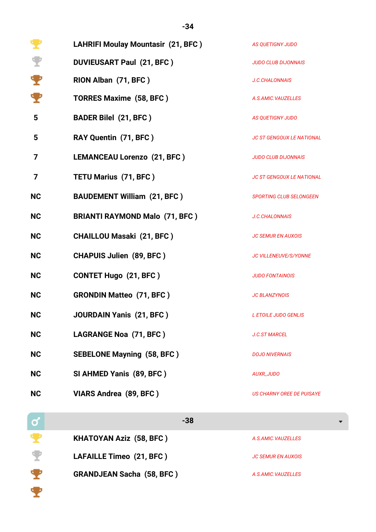|                      | <b>LAHRIFI Moulay Mountasir (21, BFC)</b> | AS QUETIGNY JUDO                 |
|----------------------|-------------------------------------------|----------------------------------|
| $\blacktriangledown$ | <b>DUVIEUSART Paul (21, BFC)</b>          | <b>JUDO CLUB DIJONNAIS</b>       |
| т                    | RION Alban (71, BFC)                      | <b>J.C.CHALONNAIS</b>            |
|                      | <b>TORRES Maxime (58, BFC)</b>            | A.S.AMIC.VAUZELLES               |
| 5                    | <b>BADER Bilel (21, BFC)</b>              | AS QUETIGNY JUDO                 |
| 5                    | RAY Quentin (71, BFC)                     | <b>JC ST GENGOUX LE NATIONAL</b> |
| 7                    | <b>LEMANCEAU Lorenzo (21, BFC)</b>        | <b>JUDO CLUB DIJONNAIS</b>       |
| 7                    | <b>TETU Marius (71, BFC)</b>              | <b>JC ST GENGOUX LE NATIONAL</b> |
| <b>NC</b>            | <b>BAUDEMENT William (21, BFC)</b>        | <b>SPORTING CLUB SELONGEEN</b>   |
| <b>NC</b>            | <b>BRIANTI RAYMOND Malo (71, BFC)</b>     | <b>J.C.CHALONNAIS</b>            |
| <b>NC</b>            | <b>CHAILLOU Masaki (21, BFC)</b>          | <b>JC SEMUR EN AUXOIS</b>        |
| <b>NC</b>            | <b>CHAPUIS Julien (89, BFC)</b>           | JC VILLENEUVE/S/YONNE            |
| <b>NC</b>            | <b>CONTET Hugo (21, BFC)</b>              | <b>JUDO FONTAINOIS</b>           |
| <b>NC</b>            | <b>GRONDIN Matteo (71, BFC)</b>           | <b>JC BLANZYNOIS</b>             |
| <b>NC</b>            | <b>JOURDAIN Yanis (21, BFC)</b>           | L ETOILE JUDO GENLIS             |
| <b>NC</b>            | LAGRANGE Noa (71, BFC)                    | <b>J.C.ST MARCEL</b>             |
| <b>NC</b>            | <b>SEBELONE Mayning (58, BFC)</b>         | <b>DOJO NIVERNAIS</b>            |
| <b>NC</b>            | SI AHMED Yanis (89, BFC)                  | <b>AUXR_JUDO</b>                 |
| <b>NC</b>            | VIARS Andrea (89, BFC)                    | <b>US CHARNY OREE DE PUISAYE</b> |
| $\mathbf Q$          | $-38$                                     |                                  |
|                      | <b>KHATOYAN Aziz (58, BFC)</b>            | A.S.AMIC.VAUZELLES               |
|                      | LAFAILLE Timeo (21, BFC)                  | <b>JC SEMUR EN AUXOIS</b>        |

**GRANDJEAN Sacha (58, BFC )** *A.S.AMIC.VAUZELLES*

字字

 $\mathcal{L}_{\mathcal{A}}$ 

**-34**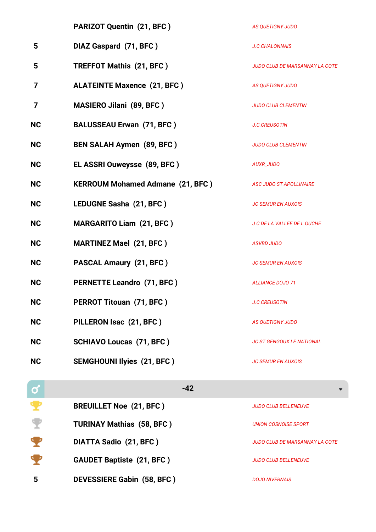|           | PARIZOT Quentin (21, BFC)               | <b>AS QUETIGNY JUDO</b>               |
|-----------|-----------------------------------------|---------------------------------------|
| 5         | DIAZ Gaspard (71, BFC)                  | <b>J.C.CHALONNAIS</b>                 |
| 5         | <b>TREFFOT Mathis (21, BFC)</b>         | <b>JUDO CLUB DE MARSANNAY LA COTE</b> |
| 7         | <b>ALATEINTE Maxence (21, BFC)</b>      | <b>AS QUETIGNY JUDO</b>               |
| 7         | <b>MASIERO Jilani (89, BFC)</b>         | <b>JUDO CLUB CLEMENTIN</b>            |
| <b>NC</b> | <b>BALUSSEAU Erwan (71, BFC)</b>        | <b>J.C.CREUSOTIN</b>                  |
| <b>NC</b> | <b>BEN SALAH Aymen (89, BFC)</b>        | <b>JUDO CLUB CLEMENTIN</b>            |
| <b>NC</b> | EL ASSRI Ouweysse (89, BFC)             | <b>AUXR_JUDO</b>                      |
| <b>NC</b> | <b>KERROUM Mohamed Admane (21, BFC)</b> | <b>ASC JUDO ST APOLLINAIRE</b>        |
| <b>NC</b> | LEDUGNE Sasha (21, BFC)                 | <b>JC SEMUR EN AUXOIS</b>             |
| <b>NC</b> | <b>MARGARITO Liam (21, BFC)</b>         | J C DE LA VALLEE DE L OUCHE           |
| <b>NC</b> | <b>MARTINEZ Mael (21, BFC)</b>          | <b>ASVBD JUDO</b>                     |
| <b>NC</b> | <b>PASCAL Amaury (21, BFC)</b>          | <b>JC SEMUR EN AUXOIS</b>             |
| <b>NC</b> | <b>PERNETTE Leandro (71, BFC)</b>       | <b>ALLIANCE DOJO 71</b>               |
| <b>NC</b> | PERROT Titouan (71, BFC)                | J.C.CREUSOTIN                         |
| <b>NC</b> | PILLERON Isac (21, BFC)                 | <b>AS QUETIGNY JUDO</b>               |
| <b>NC</b> | <b>SCHIAVO Loucas (71, BFC)</b>         | <b>JC ST GENGOUX LE NATIONAL</b>      |
| <b>NC</b> | <b>SEMGHOUNI Ilyies (21, BFC)</b>       | <b>JC SEMUR EN AUXOIS</b>             |
| σ         | $-42$                                   |                                       |
|           |                                         |                                       |

|   | <b>BREUILLET Noe (21, BFC)</b>    | <b>JUDO CLUB BELLENEUVE</b>    |
|---|-----------------------------------|--------------------------------|
|   | <b>TURINAY Mathias (58, BFC)</b>  | UNION COSNOISE SPORT           |
|   | <b>DIATTA Sadio (21, BFC)</b>     | JUDO CLUB DE MARSANNAY LA COTE |
|   | <b>GAUDET Baptiste (21, BFC)</b>  | <b>JUDO CLUB BELLENEUVE</b>    |
| 5 | <b>DEVESSIERE Gabin (58, BFC)</b> | <b>DOJO NIVERNAIS</b>          |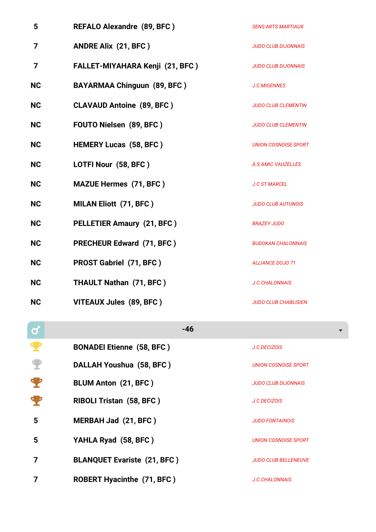| 5         | REFALO Alexandre (89, BFC)             | <b>SENS ARTS MARTIAUX</b>   |
|-----------|----------------------------------------|-----------------------------|
| 7         | <b>ANDRE Alix (21, BFC)</b>            | <b>JUDO CLUB DIJONNAIS</b>  |
| 7         | <b>FALLET-MIYAHARA Kenji (21, BFC)</b> | <b>JUDO CLUB DIJONNAIS</b>  |
| <b>NC</b> | <b>BAYARMAA Chinguun (89, BFC)</b>     | J.C.MIGENNES                |
| <b>NC</b> | <b>CLAVAUD Antoine (89, BFC)</b>       | <b>JUDO CLUB CLEMENTIN</b>  |
| <b>NC</b> | FOUTO Nielsen (89, BFC)                | <b>JUDO CLUB CLEMENTIN</b>  |
| <b>NC</b> | <b>HEMERY Lucas (58, BFC)</b>          | <b>UNION COSNOISE SPORT</b> |
| <b>NC</b> | LOTFI Nour (58, BFC)                   | A.S.AMIC.VAUZELLES          |
| <b>NC</b> | <b>MAZUE Hermes (71, BFC)</b>          | <b>J.C.ST MARCEL</b>        |
| <b>NC</b> | <b>MILAN Eliott (71, BFC)</b>          | <b>JUDO CLUB AUTUNOIS</b>   |
| <b>NC</b> | <b>PELLETIER Amaury (21, BFC)</b>      | <b>BRAZEY JUDO</b>          |
| <b>NC</b> | <b>PRECHEUR Edward (71, BFC)</b>       | <b>BUDOKAN CHALONNAIS</b>   |
| <b>NC</b> | <b>PROST Gabriel (71, BFC)</b>         | <b>ALLIANCE DOJO 71</b>     |
| <b>NC</b> | <b>THAULT Nathan (71, BFC)</b>         | <b>J.C.CHALONNAIS</b>       |
| <b>NC</b> | VITEAUX Jules (89, BFC)                | <b>JUDO CLUB CHABLISIEN</b> |

| $\mathbf Q$ | $-46$                              |                             |
|-------------|------------------------------------|-----------------------------|
| Ŧ           | <b>BONADEI Etienne (58, BFC)</b>   | J.C.DECIZOIS                |
|             | DALLAH Youshua (58, BFC)           | <b>UNION COSNOISE SPORT</b> |
| €           | <b>BLUM Anton (21, BFC)</b>        | <b>JUDO CLUB DIJONNAIS</b>  |
|             | <b>RIBOLI Tristan (58, BFC)</b>    | J.C.DECIZOIS                |
| 5           | MERBAH Jad (21, BFC)               | <b>JUDO FONTAINOIS</b>      |
| 5           | YAHLA Ryad (58, BFC)               | UNION COSNOISE SPORT        |
|             | <b>BLANQUET Evariste (21, BFC)</b> | <b>JUDO CLUB BELLENEUVE</b> |
|             | <b>ROBERT Hyacinthe (71, BFC)</b>  | <b>J.C.CHALONNAIS</b>       |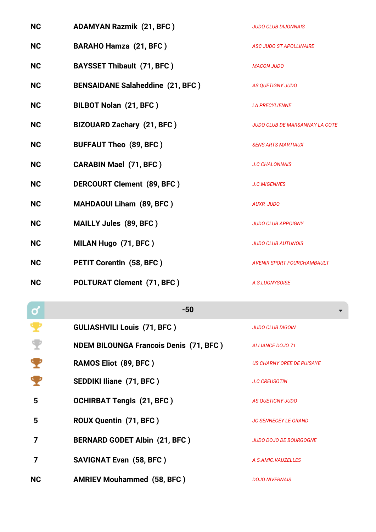| <b>NC</b> | <b>ADAMYAN Razmik (21, BFC)</b>         | <b>JUDO CLUB DIJONNAIS</b>            |
|-----------|-----------------------------------------|---------------------------------------|
| <b>NC</b> | <b>BARAHO Hamza (21, BFC)</b>           | <b>ASC JUDO ST APOLLINAIRE</b>        |
| <b>NC</b> | <b>BAYSSET Thibault (71, BFC)</b>       | <b>MACON JUDO</b>                     |
| <b>NC</b> | <b>BENSAIDANE Salaheddine (21, BFC)</b> | <b>AS QUETIGNY JUDO</b>               |
| <b>NC</b> | <b>BILBOT Nolan (21, BFC)</b>           | <b>LA PRECYLIENNE</b>                 |
| <b>NC</b> | <b>BIZOUARD Zachary (21, BFC)</b>       | <b>JUDO CLUB DE MARSANNAY LA COTE</b> |
| <b>NC</b> | <b>BUFFAUT Theo (89, BFC)</b>           | <b>SENS ARTS MARTIAUX</b>             |
| <b>NC</b> | <b>CARABIN Mael (71, BFC)</b>           | J.C.CHALONNAIS                        |
| <b>NC</b> | DERCOURT Clement (89, BFC)              | J.C.MIGENNES                          |
| <b>NC</b> | <b>MAHDAOUI Liham (89, BFC)</b>         | <b>AUXR_JUDO</b>                      |
| <b>NC</b> | MAILLY Jules (89, BFC)                  | <b>JUDO CLUB APPOIGNY</b>             |
| <b>NC</b> | MILAN Hugo (71, BFC)                    | <b>JUDO CLUB AUTUNOIS</b>             |
| <b>NC</b> | <b>PETIT Corentin (58, BFC)</b>         | AVENIR SPORT FOURCHAMBAULT            |
| <b>NC</b> | <b>POLTURAT Clement (71, BFC)</b>       | A.S.LUGNYSOISE                        |

| $\mathbf 0$ | $-50$                                         |                             |
|-------------|-----------------------------------------------|-----------------------------|
|             | <b>GULIASHVILI Louis (71, BFC)</b>            | <b>JUDO CLUB DIGOIN</b>     |
|             | <b>NDEM BILOUNGA Francois Denis (71, BFC)</b> | <b>ALLIANCE DOJO 71</b>     |
|             | <b>RAMOS Eliot (89, BFC)</b>                  | US CHARNY OREE DE PUISAYE   |
|             | <b>SEDDIKI Iliane (71, BFC)</b>               | <b>J.C.CREUSOTIN</b>        |
| 5           | <b>OCHIRBAT Tengis (21, BFC)</b>              | AS QUETIGNY JUDO            |
| 5           | ROUX Quentin (71, BFC)                        | <b>JC SENNECEY LE GRAND</b> |
| 7           | <b>BERNARD GODET Albin (21, BFC)</b>          | JUDO DOJO DE BOURGOGNE      |
| 7           | <b>SAVIGNAT Evan (58, BFC)</b>                | A.S.AMIC.VAUZELLES          |
| <b>NC</b>   | <b>AMRIEV Mouhammed (58, BFC)</b>             | <b>DOJO NIVERNAIS</b>       |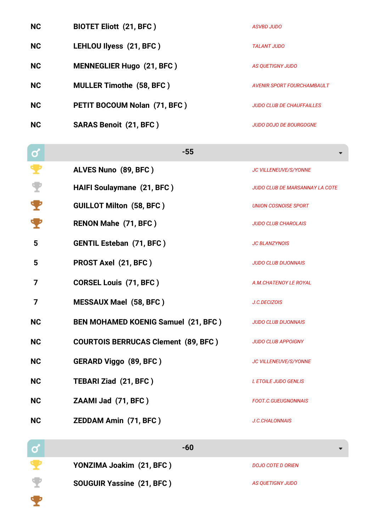| <b>NC</b> | <b>BIOTET Eliott (21, BFC)</b>   | <b>ASVBD JUDO</b>          |
|-----------|----------------------------------|----------------------------|
| <b>NC</b> | LEHLOU Ilyess (21, BFC)          | TALANT JUDO                |
| <b>NC</b> | <b>MENNEGLIER Hugo (21, BFC)</b> | AS OUETIGNY JUDO           |
| <b>NC</b> | <b>MULLER Timothe (58, BFC)</b>  | AVENIR SPORT FOURCHAMBAULT |
| <b>NC</b> | PETIT BOCOUM Nolan (71, BFC)     | JUDO CLUB DE CHAUFFAILLES  |
| <b>NC</b> | <b>SARAS Benoit (21, BFC)</b>    | JUDO DOJO DE BOURGOGNE     |

| σ         | $-55$                                      |                                       |
|-----------|--------------------------------------------|---------------------------------------|
|           | ALVES Nuno (89, BFC)                       | <b>JC VILLENEUVE/S/YONNE</b>          |
|           | <b>HAIFI Soulaymane (21, BFC)</b>          | <b>JUDO CLUB DE MARSANNAY LA COTE</b> |
|           | <b>GUILLOT Milton (58, BFC)</b>            | <b>UNION COSNOISE SPORT</b>           |
|           | RENON Mahe (71, BFC)                       | <b>JUDO CLUB CHAROLAIS</b>            |
| 5         | <b>GENTIL Esteban (71, BFC)</b>            | <b>JC BLANZYNOIS</b>                  |
| 5         | PROST Axel (21, BFC)                       | <b>JUDO CLUB DIJONNAIS</b>            |
| 7         | <b>CORSEL Louis (71, BFC)</b>              | A.M.CHATENOY LE ROYAL                 |
| 7         | <b>MESSAUX Mael (58, BFC)</b>              | J.C.DECIZOIS                          |
| <b>NC</b> | BEN MOHAMED KOENIG Samuel (21, BFC)        | <b>JUDO CLUB DIJONNAIS</b>            |
| <b>NC</b> | <b>COURTOIS BERRUCAS Clement (89, BFC)</b> | <b>JUDO CLUB APPOIGNY</b>             |
| <b>NC</b> | <b>GERARD Viggo (89, BFC)</b>              | <b>JC VILLENEUVE/S/YONNE</b>          |
| <b>NC</b> | TEBARI Ziad (21, BFC)                      | L ETOILE JUDO GENLIS                  |
| <b>NC</b> | ZAAMI Jad (71, BFC)                        | <b>FOOT.C.GUEUGNONNAIS</b>            |
| <b>NC</b> | <b>ZEDDAM Amin (71, BFC)</b>               | <b>J.C.CHALONNAIS</b>                 |

**COMPANY -60 YONZIMA Joakim (21, BFC)** *DOJO COTE D ORIEN* **SOUGUIR Yassine (21, BFC )** *AS QUETIGNY JUDO*